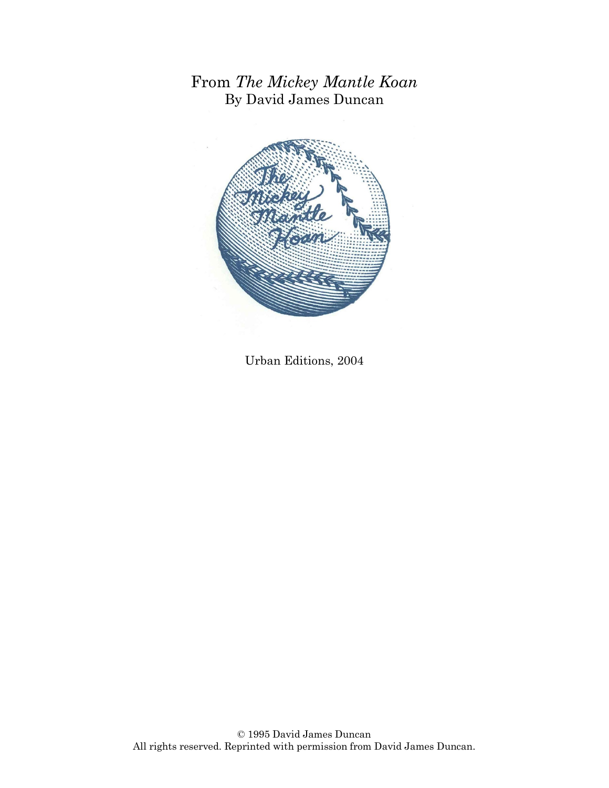## From *The Mickey Mantle Koan* By David James Duncan



Urban Editions, 2004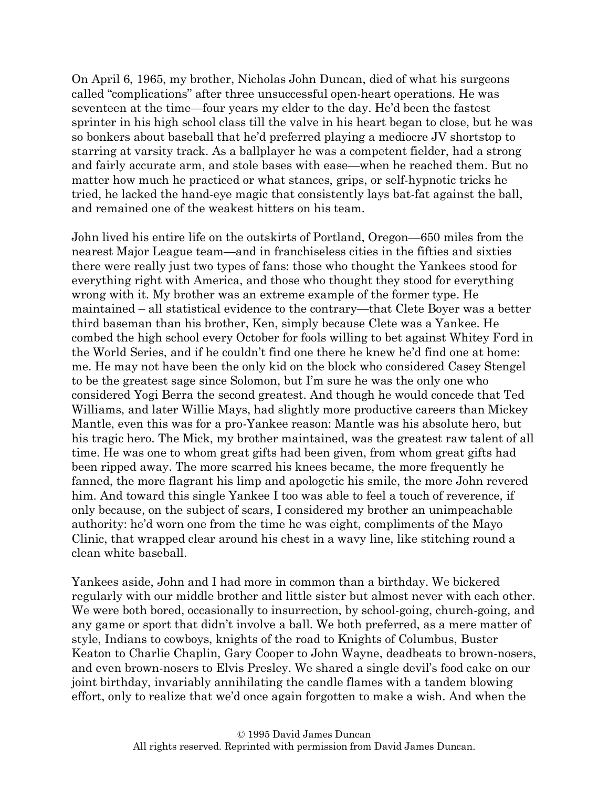On April 6, 1965, my brother, Nicholas John Duncan, died of what his surgeons called "complications" after three unsuccessful open-heart operations. He was seventeen at the time—four years my elder to the day. He'd been the fastest sprinter in his high school class till the valve in his heart began to close, but he was so bonkers about baseball that he'd preferred playing a mediocre JV shortstop to starring at varsity track. As a ballplayer he was a competent fielder, had a strong and fairly accurate arm, and stole bases with ease—when he reached them. But no matter how much he practiced or what stances, grips, or self-hypnotic tricks he tried, he lacked the hand-eye magic that consistently lays bat-fat against the ball, and remained one of the weakest hitters on his team.

John lived his entire life on the outskirts of Portland, Oregon—650 miles from the nearest Major League team—and in franchiseless cities in the fifties and sixties there were really just two types of fans: those who thought the Yankees stood for everything right with America, and those who thought they stood for everything wrong with it. My brother was an extreme example of the former type. He maintained – all statistical evidence to the contrary—that Clete Boyer was a better third baseman than his brother, Ken, simply because Clete was a Yankee. He combed the high school every October for fools willing to bet against Whitey Ford in the World Series, and if he couldn't find one there he knew he'd find one at home: me. He may not have been the only kid on the block who considered Casey Stengel to be the greatest sage since Solomon, but I'm sure he was the only one who considered Yogi Berra the second greatest. And though he would concede that Ted Williams, and later Willie Mays, had slightly more productive careers than Mickey Mantle, even this was for a pro-Yankee reason: Mantle was his absolute hero, but his tragic hero. The Mick, my brother maintained, was the greatest raw talent of all time. He was one to whom great gifts had been given, from whom great gifts had been ripped away. The more scarred his knees became, the more frequently he fanned, the more flagrant his limp and apologetic his smile, the more John revered him. And toward this single Yankee I too was able to feel a touch of reverence, if only because, on the subject of scars, I considered my brother an unimpeachable authority: he'd worn one from the time he was eight, compliments of the Mayo Clinic, that wrapped clear around his chest in a wavy line, like stitching round a clean white baseball.

Yankees aside, John and I had more in common than a birthday. We bickered regularly with our middle brother and little sister but almost never with each other. We were both bored, occasionally to insurrection, by school-going, church-going, and any game or sport that didn't involve a ball. We both preferred, as a mere matter of style, Indians to cowboys, knights of the road to Knights of Columbus, Buster Keaton to Charlie Chaplin, Gary Cooper to John Wayne, deadbeats to brown-nosers, and even brown-nosers to Elvis Presley. We shared a single devil's food cake on our joint birthday, invariably annihilating the candle flames with a tandem blowing effort, only to realize that we'd once again forgotten to make a wish. And when the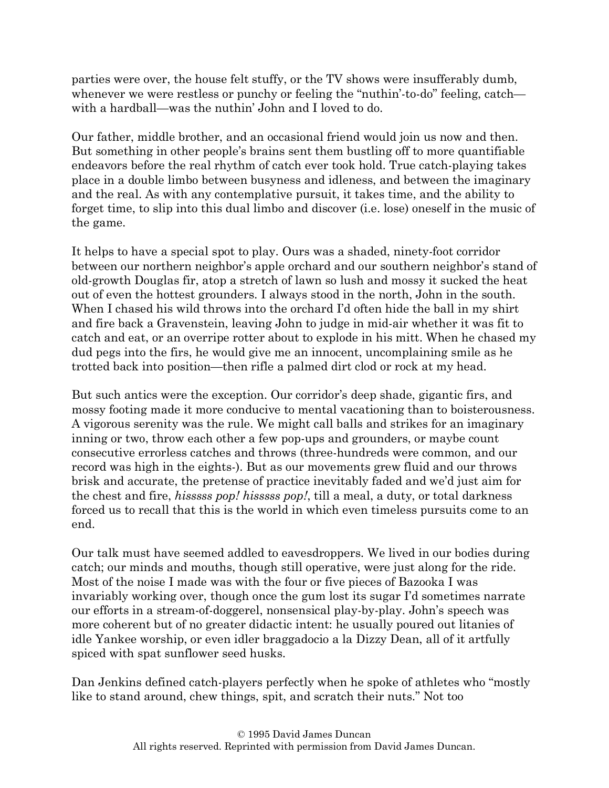parties were over, the house felt stuffy, or the TV shows were insufferably dumb, whenever we were restless or punchy or feeling the "nuthin'-to-do" feeling, catch with a hardball—was the nuthin' John and I loved to do.

Our father, middle brother, and an occasional friend would join us now and then. But something in other people's brains sent them bustling off to more quantifiable endeavors before the real rhythm of catch ever took hold. True catch-playing takes place in a double limbo between busyness and idleness, and between the imaginary and the real. As with any contemplative pursuit, it takes time, and the ability to forget time, to slip into this dual limbo and discover (i.e. lose) oneself in the music of the game.

It helps to have a special spot to play. Ours was a shaded, ninety-foot corridor between our northern neighbor's apple orchard and our southern neighbor's stand of old-growth Douglas fir, atop a stretch of lawn so lush and mossy it sucked the heat out of even the hottest grounders. I always stood in the north, John in the south. When I chased his wild throws into the orchard I'd often hide the ball in my shirt and fire back a Gravenstein, leaving John to judge in mid-air whether it was fit to catch and eat, or an overripe rotter about to explode in his mitt. When he chased my dud pegs into the firs, he would give me an innocent, uncomplaining smile as he trotted back into position—then rifle a palmed dirt clod or rock at my head.

But such antics were the exception. Our corridor's deep shade, gigantic firs, and mossy footing made it more conducive to mental vacationing than to boisterousness. A vigorous serenity was the rule. We might call balls and strikes for an imaginary inning or two, throw each other a few pop-ups and grounders, or maybe count consecutive errorless catches and throws (three-hundreds were common, and our record was high in the eights-). But as our movements grew fluid and our throws brisk and accurate, the pretense of practice inevitably faded and we'd just aim for the chest and fire, *hisssss pop! hisssss pop!*, till a meal, a duty, or total darkness forced us to recall that this is the world in which even timeless pursuits come to an end.

Our talk must have seemed addled to eavesdroppers. We lived in our bodies during catch; our minds and mouths, though still operative, were just along for the ride. Most of the noise I made was with the four or five pieces of Bazooka I was invariably working over, though once the gum lost its sugar I'd sometimes narrate our efforts in a stream-of-doggerel, nonsensical play-by-play. John's speech was more coherent but of no greater didactic intent: he usually poured out litanies of idle Yankee worship, or even idler braggadocio a la Dizzy Dean, all of it artfully spiced with spat sunflower seed husks.

Dan Jenkins defined catch-players perfectly when he spoke of athletes who "mostly like to stand around, chew things, spit, and scratch their nuts." Not too